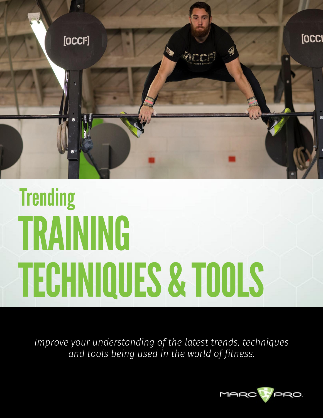

# **Trending** TRAINING **TECHNIQUES & TOOLS**

Improve your understanding of the latest trends, techniques and tools being used in the world of fitness.

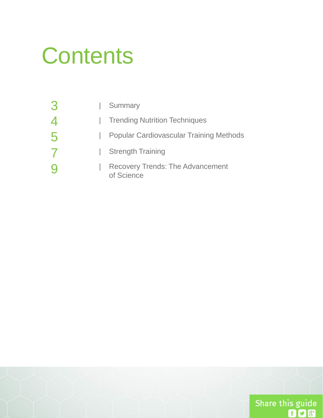#### **Contents**

| 3 | Summary                                               |
|---|-------------------------------------------------------|
|   | <b>Trending Nutrition Techniques</b>                  |
| 5 | <b>Popular Cardiovascular Training Methods</b>        |
|   | <b>Strength Training</b>                              |
|   | <b>Recovery Trends: The Advancement</b><br>of Science |

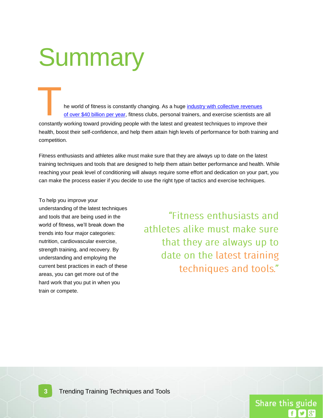# **Summary**

T he world of fitness is constantly changing. As a huge [industry with collective revenues](http://www.statista.com/statistics/242190/us-fitness-industry-revenue-by-sector/)  [of](http://www.statista.com/statistics/242190/us-fitness-industry-revenue-by-sector/) [over \\$40 billion per year,](http://www.statista.com/statistics/242190/us-fitness-industry-revenue-by-sector/) fitness clubs, personal trainers, and exercise scientists are all constantly working toward providing people with the latest and greatest techniques to improve their health, boost their self-confidence, and help them attain high levels of performance for both training and competition.

Fitness enthusiasts and athletes alike must make sure that they are always up to date on the latest training techniques and tools that are designed to help them attain better performance and health. While reaching your peak level of conditioning will always require some effort and dedication on your part, you can make the process easier if you decide to use the right type of tactics and exercise techniques.

To help you improve your understanding of the latest techniques and tools that are being used in the world of fitness, we'll break down the trends into four major categories: nutrition, cardiovascular exercise, strength training, and recovery. By understanding and employing the current best practices in each of these areas, you can get more out of the hard work that you put in when you train or compete.

"Fitness enthusiasts and athletes alike must make sure that they are always up to date on the latest training techniques and tools."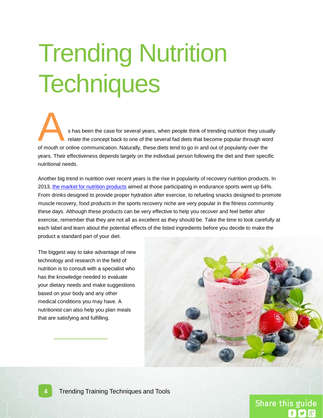# **Trending Nutrition Techniques**

s has been the case for several years, when people think of trending nutrition they usually relate the concept back to one of the several fad diets that become popular through word of mouth or online communication. Naturally, these diets tend to go in and out of popularity over the years. Their effectiveness depends largely on the individual person following the diet and their specific nutritional needs. A

Another big trend in nutrition over recent years is the rise in popularity of recovery nutrition products. In 2013, [the market for nutrition products](http://www.foodbusinessnews.net/~/media/ImagesNew/FoodBusinessNews/Features 2014/7/InnovaSportsInfographic.ashx) aimed at those participating in endurance sports went up 64%. From drinks designed to provide proper hydration after exercise, to refueling snacks designed to promote muscle recovery, food products in the sports recovery niche are very popular in the fitness community these days. Although these products can be very effective to help you recover and feel better after exercise, remember that they are not all as excellent as they should be. Take the time to look carefully at each label and learn about the potential effects of the listed ingredients before you decide to make the product a standard part of your diet.

The biggest way to take advantage of new technology and research in the field of nutrition is to consult with a specialist who has the knowledge needed to evaluate your dietary needs and make suggestions based on your body and any other medical conditions you may have. A nutritionist can also help you plan meals that are satisfying and fulfilling.

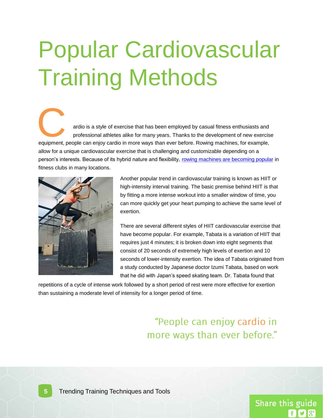### Popular Cardiovascular Training Methods

equipment, people can enjoy cardio in more ways than ever before. Rowing machines, for example, allow for a unique cardiovascular exercise that is challenging and customizable depending on a person's interests. Because of its hybrid nature and flexibility, [rowing machines are becoming popular](http://www.athleticbusiness.com/fitness-training/keeping-up-on-cardio-equipment-trends.html) in fitness clubs in many locations. ardio is a style of exercise that has been employed by casual fitness enthusiasts and<br>professional athletes alike for many years. Thanks to the development of new exercise



Another popular trend in cardiovascular training is known as HIIT or high-intensity interval training. The basic premise behind HIIT is that by fitting a more intense workout into a smaller window of time, you can more quickly get your heart pumping to achieve the same level of exertion.

There are several different styles of HIIT cardiovascular exercise that have become popular. For example, Tabata is a variation of HIIT that requires just 4 minutes; it is broken down into eight segments that consist of 20 seconds of extremely high levels of exertion and 10 seconds of lower-intensity exertion. The idea of Tabata originated from a study conducted by Japanese doctor Izumi Tabata, based on work that he did with Japan's speed skating team. Dr. Tabata found that

repetitions of a cycle of intense work followed by a short period of rest were more effective for exertion than sustaining a moderate level of intensity for a longer period of time.

#### "People can enjoy cardio in more ways than ever before."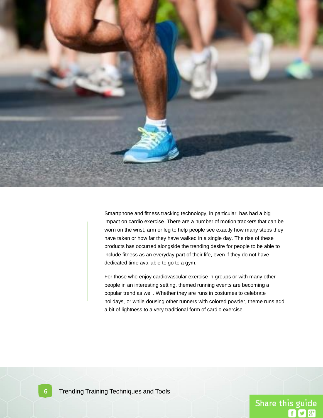

Smartphone and fitness tracking technology, in particular, has had a big impact on cardio exercise. There are a number of motion trackers that can be worn on the wrist, arm or leg to help people see exactly how many steps they have taken or how far they have walked in a single day. The rise of these products has occurred alongside the trending desire for people to be able to include fitness as an everyday part of their life, even if they do not have dedicated time available to go to a gym.

For those who enjoy cardiovascular exercise in groups or with many other people in an interesting setting, themed running events are becoming a popular trend as well. Whether they are runs in costumes to celebrate holidays, or while dousing other runners with colored powder, theme runs add a bit of lightness to a very traditional form of cardio exercise.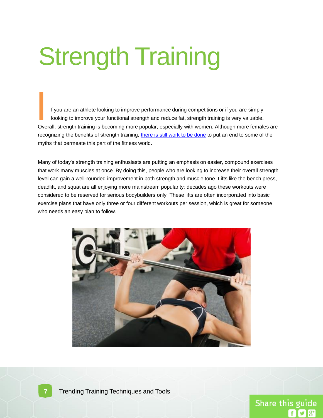# **Strength Training**

f you are an athlete looking to improve performance during competitions or if you are simply looking to improve your functional strength and reduce fat, strength training is very valuable. Overall, strength training is becoming more popular, especially with women. Although more females are recognizing the benefits of strength training, [there is still work to be done](http://illinoistimes.com/article-15007-women,-lifting-weights-is-all-good.html) to put an end to some of the myths that permeate this part of the fitness world. **I**<br>International<br>Over

Many of today's strength training enthusiasts are putting an emphasis on easier, compound exercises that work many muscles at once. By doing this, people who are looking to increase their overall strength level can gain a well-rounded improvement in both strength and muscle tone. Lifts like the bench press, deadlift, and squat are all enjoying more mainstream popularity; decades ago these workouts were considered to be reserved for serious bodybuilders only. These lifts are often incorporated into basic exercise plans that have only three or four different workouts per session, which is great for someone who needs an easy plan to follow.

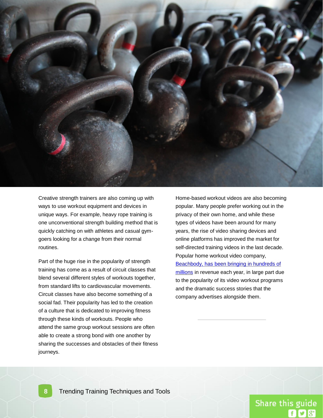

Creative strength trainers are also coming up with ways to use workout equipment and devices in unique ways. For example, heavy rope training is one unconventional strength building method that is quickly catching on with athletes and casual gymgoers looking for a change from their normal routines.

Part of the huge rise in the popularity of strength training has come as a result of circuit classes that blend several different styles of workouts together, from standard lifts to cardiovascular movements. Circuit classes have also become something of a social fad. Their popularity has led to the creation of a culture that is dedicated to improving fitness through these kinds of workouts. People who attend the same group workout sessions are often able to create a strong bond with one another by sharing the successes and obstacles of their fitness journeys.

Home-based workout videos are also becoming popular. Many people prefer working out in the privacy of their own home, and while these types of videos have been around for many years, the rise of video sharing devices and online platforms has improved the market for self-directed training videos in the last decade. Popular home workout video company, [Beachbody, has been bringing in hundreds of](http://www.inc.com/profile/beachbody)  [millions](http://www.inc.com/profile/beachbody) in revenue each year, in large part due to the popularity of its video workout programs and the dramatic success stories that the company advertises alongside them.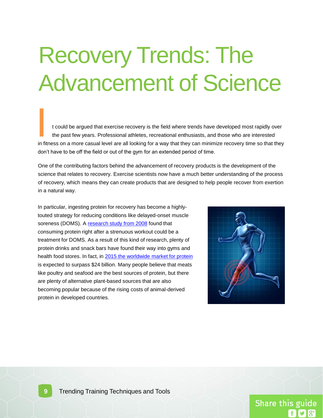#### Recovery Trends: The Advancement of Science

t could be argued that exercise recovery is the field where trends have developed most rapidly over the past few years. Professional athletes, recreational enthusiasts, and those who are interested in fitness on a more casual level are all looking for a way that they can minimize recovery time so that they don't have to be off the field or out of the gym for an extended period of time. **I**<br>In fit

One of the contributing factors behind the advancement of recovery products is the development of the science that relates to recovery. Exercise scientists now have a much better understanding of the process of recovery, which means they can create products that are designed to help people recover from exertion in a natural way.

In particular, ingesting protein for recovery has become a highlytouted strategy for reducing conditions like delayed-onset muscle soreness (DOMS). A [research study from 2008](http://www.ncbi.nlm.nih.gov/pubmed/18461101) found that consuming protein right after a strenuous workout could be a treatment for DOMS. As a result of this kind of research, plenty of protein drinks and snack bars have found their way into gyms and health food stores. In fact, in [2015 the worldwide market for protein](http://www.foodproductdesign.com/Blogs/trending-foods/2014/08/Plant-Based-Protein-Popularity-Surges.aspx?topic=basf) is expected to surpass \$24 billion. Many people believe that meats like poultry and seafood are the best sources of protein, but there are plenty of alternative plant-based sources that are also becoming popular because of the rising costs of animal-derived protein in developed countries.

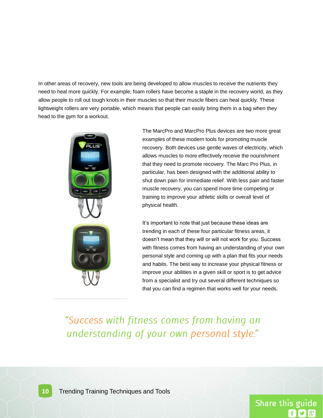In other areas of recovery, new tools are being developed to allow muscles to receive the nutrients they need to heal more quickly. For example, foam rollers have become a staple in the recovery world, as they allow people to roll out tough knots in their muscles so that their muscle fibers can heal quickly. These lightweight rollers are very portable, which means that people can easily bring them in a bag when they head to the gym for a workout.



The MarcPro and MarcPro Plus devices are two more great examples of these modern tools for promoting muscle recovery. Both devices use gentle waves of electricity, which allows muscles to more effectively receive the nourishment that they need to promote recovery. The Marc Pro Plus, in particular, has been designed with the additional ability to shut down pain for immediate relief. With less pain and faster muscle recovery, you can spend more time competing or training to improve your athletic skills or overall level of physical health.

It's important to note that just because these ideas are trending in each of these four particular fitness areas, it doesn't mean that they will or will not work for you. Success with fitness comes from having an understanding of your own personal style and coming up with a plan that fits your needs and habits. The best way to increase your physical fitness or improve your abilities in a given skill or sport is to get advice from a specialist and try out several different techniques so that you can find a regimen that works well for your needs.

"Success with fitness comes from having an understanding of your own personal style."